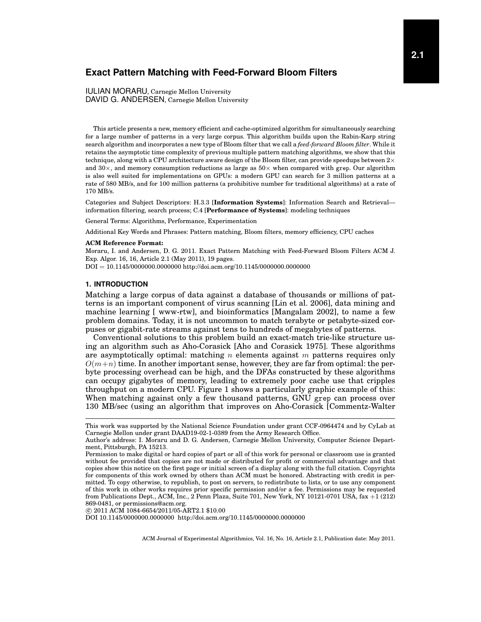# **Exact Pattern Matching with Feed-Forward Bloom Filters**

IULIAN MORARU, Carnegie Mellon University DAVID G. ANDERSEN, Carnegie Mellon University

This article presents a new, memory efficient and cache-optimized algorithm for simultaneously searching for a large number of patterns in a very large corpus. This algorithm builds upon the Rabin-Karp string search algorithm and incorporates a new type of Bloom filter that we call a *feed-forward Bloom filter*. While it retains the asymptotic time complexity of previous multiple pattern matching algorithms, we show that this technique, along with a CPU architecture aware design of the Bloom filter, can provide speedups between  $2\times$ and  $30\times$ , and memory consumption reductions as large as  $50\times$  when compared with grep. Our algorithm is also well suited for implementations on GPUs: a modern GPU can search for 3 million patterns at a rate of 580 MB/s, and for 100 million patterns (a prohibitive number for traditional algorithms) at a rate of 170 MB/s.

Categories and Subject Descriptors: H.3.3 [**Information Systems**]: Information Search and Retrieval information filtering, search process; C.4 [**Performance of Systems**]: modeling techniques

General Terms: Algorithms, Performance, Experimentation

Additional Key Words and Phrases: Pattern matching, Bloom filters, memory efficiency, CPU caches

#### **ACM Reference Format:**

Moraru, I. and Andersen, D. G. 2011. Exact Pattern Matching with Feed-Forward Bloom Filters ACM J. Exp. Algor. 16, 16, Article 2.1 (May 2011), 19 pages.

DOI = 10.1145/0000000.0000000 http://doi.acm.org/10.1145/0000000.0000000

### **1. INTRODUCTION**

Matching a large corpus of data against a database of thousands or millions of patterns is an important component of virus scanning [\[Lin et al. 2006\]](#page-17-0), data mining and machine learning [\[ www-rtw\]](#page-18-0), and bioinformatics [\[Mangalam 2002\]](#page-17-1), to name a few problem domains. Today, it is not uncommon to match terabyte or petabyte-sized corpuses or gigabit-rate streams against tens to hundreds of megabytes of patterns.

Conventional solutions to this problem build an exact-match trie-like structure using an algorithm such as Aho-Corasick [\[Aho and Corasick 1975\]](#page-17-2). These algorithms are asymptotically optimal: matching n elements against m patterns requires only  $O(m+n)$  time. In another important sense, however, they are far from optimal: the perbyte processing overhead can be high, and the DFAs constructed by these algorithms can occupy gigabytes of memory, leading to extremely poor cache use that cripples throughput on a modern CPU. Figure [1](#page-2-0) shows a particularly graphic example of this: When matching against only a few thousand patterns, GNU grep can process over 130 MB/sec (using an algorithm that improves on Aho-Corasick [\[Commentz-Walter](#page-17-3)

c 2011 ACM 1084-6654/2011/05-ART2.1 \$10.00

DOI 10.1145/0000000.0000000 http://doi.acm.org/10.1145/000000.00000000

This work was supported by the National Science Foundation under grant CCF-0964474 and by CyLab at Carnegie Mellon under grant DAAD19-02-1-0389 from the Army Research Office.

Author's address: I. Moraru and D. G. Andersen, Carnegie Mellon University, Computer Science Department, Pittsburgh, PA 15213.

Permission to make digital or hard copies of part or all of this work for personal or classroom use is granted without fee provided that copies are not made or distributed for profit or commercial advantage and that copies show this notice on the first page or initial screen of a display along with the full citation. Copyrights for components of this work owned by others than ACM must be honored. Abstracting with credit is permitted. To copy otherwise, to republish, to post on servers, to redistribute to lists, or to use any component of this work in other works requires prior specific permission and/or a fee. Permissions may be requested from Publications Dept., ACM, Inc., 2 Penn Plaza, Suite 701, New York, NY 10121-0701 USA, fax +1 (212) 869-0481, or permissions@acm.org.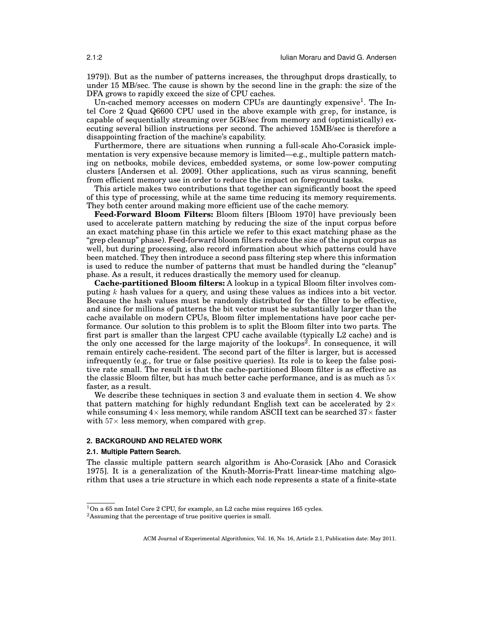[1979\]](#page-17-3)). But as the number of patterns increases, the throughput drops drastically, to under 15 MB/sec. The cause is shown by the second line in the graph: the size of the DFA grows to rapidly exceed the size of CPU caches.

Un-cached memory accesses on modern CPUs are dauntingly expensive<sup>[1](#page-1-0)</sup>. The Intel Core 2 Quad Q6600 CPU used in the above example with grep, for instance, is capable of sequentially streaming over 5GB/sec from memory and (optimistically) executing several billion instructions per second. The achieved 15MB/sec is therefore a disappointing fraction of the machine's capability.

Furthermore, there are situations when running a full-scale Aho-Corasick implementation is very expensive because memory is limited—e.g., multiple pattern matching on netbooks, mobile devices, embedded systems, or some low-power computing clusters [\[Andersen et al. 2009\]](#page-17-4). Other applications, such as virus scanning, benefit from efficient memory use in order to reduce the impact on foreground tasks.

This article makes two contributions that together can significantly boost the speed of this type of processing, while at the same time reducing its memory requirements. They both center around making more efficient use of the cache memory.

**Feed-Forward Bloom Filters:** Bloom filters [\[Bloom 1970\]](#page-17-5) have previously been used to accelerate pattern matching by reducing the size of the input corpus before an exact matching phase (in this article we refer to this exact matching phase as the "grep cleanup" phase). Feed-forward bloom filters reduce the size of the input corpus as well, but during processing, also record information about which patterns could have been matched. They then introduce a second pass filtering step where this information is used to reduce the number of patterns that must be handled during the "cleanup" phase. As a result, it reduces drastically the memory used for cleanup.

**Cache-partitioned Bloom filters:** A lookup in a typical Bloom filter involves computing  $k$  hash values for a query, and using these values as indices into a bit vector. Because the hash values must be randomly distributed for the filter to be effective, and since for millions of patterns the bit vector must be substantially larger than the cache available on modern CPUs, Bloom filter implementations have poor cache performance. Our solution to this problem is to split the Bloom filter into two parts. The first part is smaller than the largest CPU cache available (typically L2 cache) and is the only one accessed for the large majority of the lookups<sup>[2](#page-1-1)</sup>. In consequence, it will remain entirely cache-resident. The second part of the filter is larger, but is accessed infrequently (e.g., for true or false positive queries). Its role is to keep the false positive rate small. The result is that the cache-partitioned Bloom filter is as effective as the classic Bloom filter, but has much better cache performance, and is as much as  $5\times$ faster, as a result.

We describe these techniques in section [3](#page-4-0) and evaluate them in section [4.](#page-11-0) We show that pattern matching for highly redundant English text can be accelerated by  $2\times$ while consuming  $4\times$  less memory, while random ASCII text can be searched  $37\times$  faster with  $57\times$  less memory, when compared with grep.

## **2. BACKGROUND AND RELATED WORK**

## **2.1. Multiple Pattern Search.**

The classic multiple pattern search algorithm is Aho-Corasick [\[Aho and Corasick](#page-17-2) [1975\]](#page-17-2). It is a generalization of the Knuth-Morris-Pratt linear-time matching algorithm that uses a trie structure in which each node represents a state of a finite-state

<span id="page-1-0"></span> $^1 \text{On a 65 nm Intel Core 2 CPU, for example, an L2 cache miss requires 165 cycles.}$ 

<span id="page-1-1"></span><sup>&</sup>lt;sup>2</sup>Assuming that the percentage of true positive queries is small.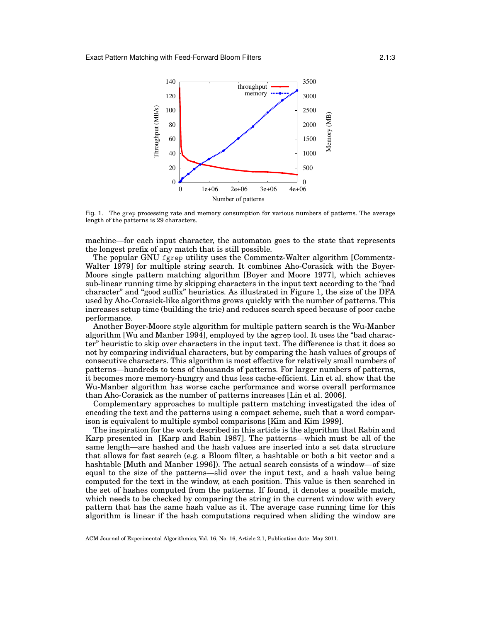

<span id="page-2-0"></span>Fig. 1. The grep processing rate and memory consumption for various numbers of patterns. The average length of the patterns is 29 characters.

machine—for each input character, the automaton goes to the state that represents the longest prefix of any match that is still possible.

The popular GNU fgrep utility uses the Commentz-Walter algorithm [\[Commentz-](#page-17-3)[Walter 1979\]](#page-17-3) for multiple string search. It combines Aho-Corasick with the Boyer-Moore single pattern matching algorithm [\[Boyer and Moore 1977\]](#page-17-6), which achieves sub-linear running time by skipping characters in the input text according to the "bad character" and "good suffix" heuristics. As illustrated in Figure [1,](#page-2-0) the size of the DFA used by Aho-Corasick-like algorithms grows quickly with the number of patterns. This increases setup time (building the trie) and reduces search speed because of poor cache performance.

Another Boyer-Moore style algorithm for multiple pattern search is the Wu-Manber algorithm [\[Wu and Manber 1994\]](#page-18-1), employed by the agrep tool. It uses the "bad character" heuristic to skip over characters in the input text. The difference is that it does so not by comparing individual characters, but by comparing the hash values of groups of consecutive characters. This algorithm is most effective for relatively small numbers of patterns—hundreds to tens of thousands of patterns. For larger numbers of patterns, it becomes more memory-hungry and thus less cache-efficient. Lin et al. show that the Wu-Manber algorithm has worse cache performance and worse overall performance than Aho-Corasick as the number of patterns increases [\[Lin et al. 2006\]](#page-17-0).

Complementary approaches to multiple pattern matching investigated the idea of encoding the text and the patterns using a compact scheme, such that a word comparison is equivalent to multiple symbol comparisons [\[Kim and Kim 1999\]](#page-17-7).

The inspiration for the work described in this article is the algorithm that Rabin and Karp presented in [\[Karp and Rabin 1987\]](#page-17-8). The patterns—which must be all of the same length—are hashed and the hash values are inserted into a set data structure that allows for fast search (e.g. a Bloom filter, a hashtable or both a bit vector and a hashtable [\[Muth and Manber 1996\]](#page-17-9)). The actual search consists of a window—of size equal to the size of the patterns—slid over the input text, and a hash value being computed for the text in the window, at each position. This value is then searched in the set of hashes computed from the patterns. If found, it denotes a possible match, which needs to be checked by comparing the string in the current window with every pattern that has the same hash value as it. The average case running time for this algorithm is linear if the hash computations required when sliding the window are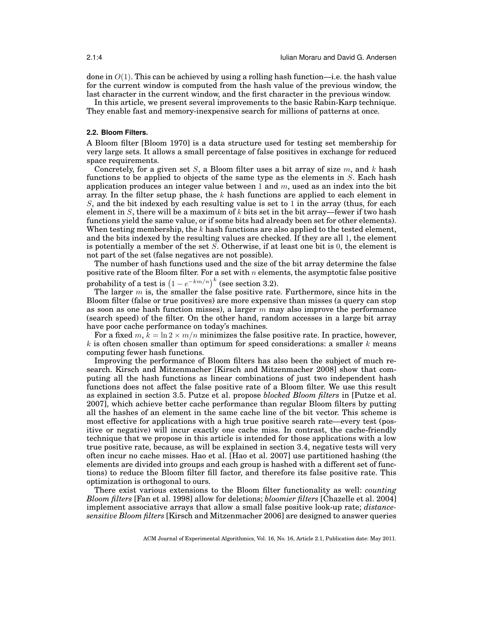done in  $O(1)$ . This can be achieved by using a rolling hash function—i.e. the hash value for the current window is computed from the hash value of the previous window, the last character in the current window, and the first character in the previous window.

In this article, we present several improvements to the basic Rabin-Karp technique. They enable fast and memory-inexpensive search for millions of patterns at once.

#### **2.2. Bloom Filters.**

A Bloom filter [\[Bloom 1970\]](#page-17-5) is a data structure used for testing set membership for very large sets. It allows a small percentage of false positives in exchange for reduced space requirements.

Concretely, for a given set S, a Bloom filter uses a bit array of size  $m$ , and k hash functions to be applied to objects of the same type as the elements in  $S$ . Each hash application produces an integer value between 1 and  $m$ , used as an index into the bit array. In the filter setup phase, the  $k$  hash functions are applied to each element in  $S$ , and the bit indexed by each resulting value is set to 1 in the array (thus, for each element in  $S$ , there will be a maximum of k bits set in the bit array—fewer if two hash functions yield the same value, or if some bits had already been set for other elements). When testing membership, the  $k$  hash functions are also applied to the tested element, and the bits indexed by the resulting values are checked. If they are all 1, the element is potentially a member of the set S. Otherwise, if at least one bit is 0, the element is not part of the set (false negatives are not possible).

The number of hash functions used and the size of the bit array determine the false positive rate of the Bloom filter. For a set with  $n$  elements, the asymptotic false positive probability of a test is  $(1 - e^{-km/n})^k$  (see section [3.2\)](#page-5-0).

The larger  $m$  is, the smaller the false positive rate. Furthermore, since hits in the Bloom filter (false or true positives) are more expensive than misses (a query can stop as soon as one hash function misses), a larger  $m$  may also improve the performance (search speed) of the filter. On the other hand, random accesses in a large bit array have poor cache performance on today's machines.

For a fixed m,  $k = \ln 2 \times m/n$  minimizes the false positive rate. In practice, however, k is often chosen smaller than optimum for speed considerations: a smaller  $k$  means computing fewer hash functions.

Improving the performance of Bloom filters has also been the subject of much research. Kirsch and Mitzenmacher [\[Kirsch and Mitzenmacher 2008\]](#page-17-10) show that computing all the hash functions as linear combinations of just two independent hash functions does not affect the false positive rate of a Bloom filter. We use this result as explained in section [3.5.](#page-10-0) Putze et al. propose *blocked Bloom filters* in [\[Putze et al.](#page-18-2) [2007\]](#page-18-2), which achieve better cache performance than regular Bloom filters by putting all the hashes of an element in the same cache line of the bit vector. This scheme is most effective for applications with a high true positive search rate—every test (positive or negative) will incur exactly one cache miss. In contrast, the cache-friendly technique that we propose in this article is intended for those applications with a low true positive rate, because, as will be explained in section [3.4,](#page-9-0) negative tests will very often incur no cache misses. Hao et al. [\[Hao et al. 2007\]](#page-17-11) use partitioned hashing (the elements are divided into groups and each group is hashed with a different set of functions) to reduce the Bloom filter fill factor, and therefore its false positive rate. This optimization is orthogonal to ours.

There exist various extensions to the Bloom filter functionality as well: *counting Bloom filters* [\[Fan et al. 1998\]](#page-17-12) allow for deletions; *bloomier filters* [\[Chazelle et al. 2004\]](#page-17-13) implement associative arrays that allow a small false positive look-up rate; *distancesensitive Bloom filters* [\[Kirsch and Mitzenmacher 2006\]](#page-17-14) are designed to answer queries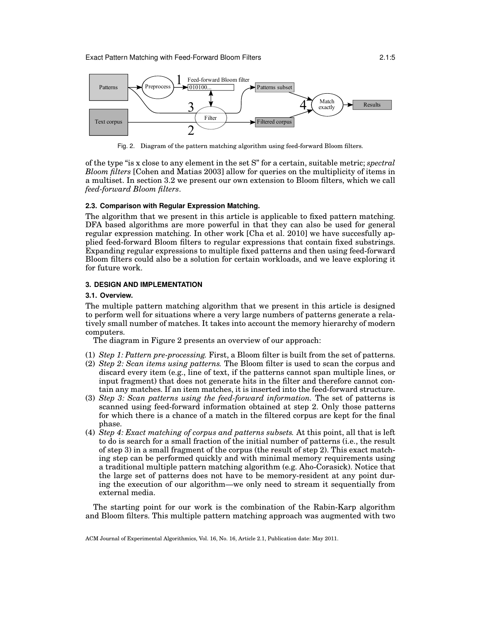

<span id="page-4-1"></span>Fig. 2. Diagram of the pattern matching algorithm using feed-forward Bloom filters.

of the type "is x close to any element in the set S" for a certain, suitable metric; *spectral Bloom filters* [\[Cohen and Matias 2003\]](#page-17-15) allow for queries on the multiplicity of items in a multiset. In section [3.2](#page-5-0) we present our own extension to Bloom filters, which we call *feed-forward Bloom filters*.

## **2.3. Comparison with Regular Expression Matching.**

The algorithm that we present in this article is applicable to fixed pattern matching. DFA based algorithms are more powerful in that they can also be used for general regular expression matching. In other work [\[Cha et al. 2010\]](#page-17-16) we have succesfully applied feed-forward Bloom filters to regular expressions that contain fixed substrings. Expanding regular expressions to multiple fixed patterns and then using feed-forward Bloom filters could also be a solution for certain workloads, and we leave exploring it for future work.

## <span id="page-4-0"></span>**3. DESIGN AND IMPLEMENTATION**

#### **3.1. Overview.**

The multiple pattern matching algorithm that we present in this article is designed to perform well for situations where a very large numbers of patterns generate a relatively small number of matches. It takes into account the memory hierarchy of modern computers.

The diagram in Figure [2](#page-4-1) presents an overview of our approach:

- (1) *Step 1: Pattern pre-processing.* First, a Bloom filter is built from the set of patterns. (2) *Step 2: Scan items using patterns.* The Bloom filter is used to scan the corpus and discard every item (e.g., line of text, if the patterns cannot span multiple lines, or input fragment) that does not generate hits in the filter and therefore cannot contain any matches. If an item matches, it is inserted into the feed-forward structure.
- (3) *Step 3: Scan patterns using the feed-forward information.* The set of patterns is scanned using feed-forward information obtained at step 2. Only those patterns for which there is a chance of a match in the filtered corpus are kept for the final phase.
- (4) *Step 4: Exact matching of corpus and patterns subsets.* At this point, all that is left to do is search for a small fraction of the initial number of patterns (i.e., the result of step 3) in a small fragment of the corpus (the result of step 2). This exact matching step can be performed quickly and with minimal memory requirements using a traditional multiple pattern matching algorithm (e.g. Aho-Corasick). Notice that the large set of patterns does not have to be memory-resident at any point during the execution of our algorithm—we only need to stream it sequentially from external media.

The starting point for our work is the combination of the Rabin-Karp algorithm and Bloom filters. This multiple pattern matching approach was augmented with two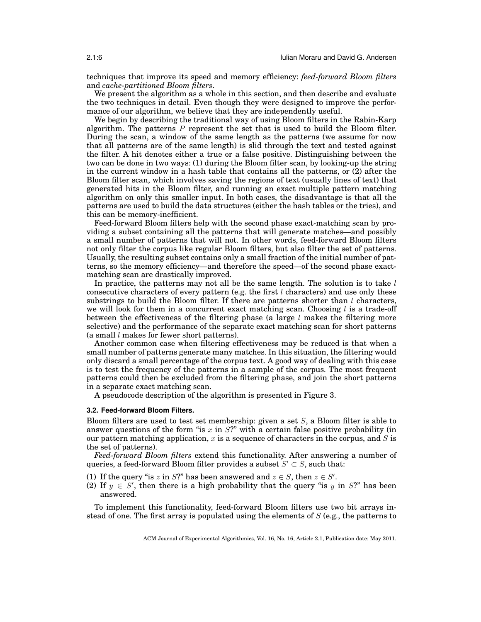techniques that improve its speed and memory efficiency: *feed-forward Bloom filters* and *cache-partitioned Bloom filters*.

We present the algorithm as a whole in this section, and then describe and evaluate the two techniques in detail. Even though they were designed to improve the performance of our algorithm, we believe that they are independently useful.

We begin by describing the traditional way of using Bloom filters in the Rabin-Karp algorithm. The patterns  $P$  represent the set that is used to build the Bloom filter. During the scan, a window of the same length as the patterns (we assume for now that all patterns are of the same length) is slid through the text and tested against the filter. A hit denotes either a true or a false positive. Distinguishing between the two can be done in two ways: (1) during the Bloom filter scan, by looking-up the string in the current window in a hash table that contains all the patterns, or (2) after the Bloom filter scan, which involves saving the regions of text (usually lines of text) that generated hits in the Bloom filter, and running an exact multiple pattern matching algorithm on only this smaller input. In both cases, the disadvantage is that all the patterns are used to build the data structures (either the hash tables or the tries), and this can be memory-inefficient.

Feed-forward Bloom filters help with the second phase exact-matching scan by providing a subset containing all the patterns that will generate matches—and possibly a small number of patterns that will not. In other words, feed-forward Bloom filters not only filter the corpus like regular Bloom filters, but also filter the set of patterns. Usually, the resulting subset contains only a small fraction of the initial number of patterns, so the memory efficiency—and therefore the speed—of the second phase exactmatching scan are drastically improved.

In practice, the patterns may not all be the same length. The solution is to take  $l$ consecutive characters of every pattern (e.g. the first  $l$  characters) and use only these substrings to build the Bloom filter. If there are patterns shorter than  $l$  characters, we will look for them in a concurrent exact matching scan. Choosing  $l$  is a trade-off between the effectiveness of the filtering phase (a large  $l$  makes the filtering more selective) and the performance of the separate exact matching scan for short patterns (a small l makes for fewer short patterns).

Another common case when filtering effectiveness may be reduced is that when a small number of patterns generate many matches. In this situation, the filtering would only discard a small percentage of the corpus text. A good way of dealing with this case is to test the frequency of the patterns in a sample of the corpus. The most frequent patterns could then be excluded from the filtering phase, and join the short patterns in a separate exact matching scan.

A pseudocode description of the algorithm is presented in Figure [3.](#page-6-0)

#### <span id="page-5-0"></span>**3.2. Feed-forward Bloom Filters.**

Bloom filters are used to test set membership: given a set  $S$ , a Bloom filter is able to answer questions of the form "is x in  $S$ ?" with a certain false positive probability (in our pattern matching application,  $x$  is a sequence of characters in the corpus, and  $S$  is the set of patterns).

*Feed-forward Bloom filters* extend this functionality. After answering a number of queries, a feed-forward Bloom filter provides a subset  $S' \subset S$ , such that:

- (1) If the query "is z in S?" has been answered and  $z \in S$ , then  $z \in S'$ .
- (2) If  $y \in S'$ , then there is a high probability that the query "is y in S?" has been answered.

To implement this functionality, feed-forward Bloom filters use two bit arrays instead of one. The first array is populated using the elements of  $S$  (e.g., the patterns to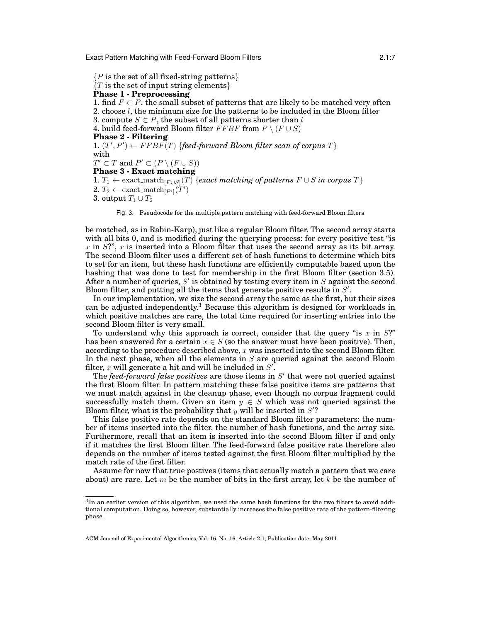Exact Pattern Matching with Feed-Forward Bloom Filters 2.1:7

 ${P}$  is the set of all fixed-string patterns}  $\{T \text{ is the set of input string elements}\}$ **Phase 1 - Preprocessing** 1. find  $F \subset P$ , the small subset of patterns that are likely to be matched very often 2. choose l, the minimum size for the patterns to be included in the Bloom filter 3. compute  $S \subset P$ , the subset of all patterns shorter than l 4. build feed-forward Bloom filter  $FFBF$  from  $P \setminus (F \cup S)$ **Phase 2 - Filtering** 1.  $(T', P') \leftarrow FFBF(T)$  {*feed-forward Bloom filter scan of corpus*  $T$ } with  $T' \subset T$  and  $P' \subset (P \setminus (F \cup S))$ **Phase 3 - Exact matching** 1.  $T_1$  ← exact\_match<sub>[F∪S]</sub>(T) {*exact matching of patterns*  $F ∪ S$  *in corpus*  $T$ }  $2. T_2 \leftarrow \text{exact\_match}_{[P']}(T')$ 3. output  $T_1 \cup T_2$ 

<span id="page-6-0"></span>Fig. 3. Pseudocode for the multiple pattern matching with feed-forward Bloom filters

be matched, as in Rabin-Karp), just like a regular Bloom filter. The second array starts with all bits 0, and is modified during the querying process: for every positive test "is x in  $S$ ?", x is inserted into a Bloom filter that uses the second array as its bit array. The second Bloom filter uses a different set of hash functions to determine which bits to set for an item, but these hash functions are efficiently computable based upon the hashing that was done to test for membership in the first Bloom filter (section [3.5\)](#page-10-0). After a number of queries,  $S'$  is obtained by testing every item in  $S$  against the second Bloom filter, and putting all the items that generate positive results in  $S'$ .

In our implementation, we size the second array the same as the first, but their sizes can be adjusted independently.[3](#page-6-1) Because this algorithm is designed for workloads in which positive matches are rare, the total time required for inserting entries into the second Bloom filter is very small.

To understand why this approach is correct, consider that the query "is  $x$  in  $S$ ?" has been answered for a certain  $x \in S$  (so the answer must have been positive). Then, according to the procedure described above,  $x$  was inserted into the second Bloom filter. In the next phase, when all the elements in  $S$  are queried against the second Bloom filter, x will generate a hit and will be included in  $S'$ .

The *feed-forward false positives* are those items in S' that were not queried against the first Bloom filter. In pattern matching these false positive items are patterns that we must match against in the cleanup phase, even though no corpus fragment could successfully match them. Given an item  $y \in S$  which was not queried against the Bloom filter, what is the probability that  $y$  will be inserted in  $S'$ ?

This false positive rate depends on the standard Bloom filter parameters: the number of items inserted into the filter, the number of hash functions, and the array size. Furthermore, recall that an item is inserted into the second Bloom filter if and only if it matches the first Bloom filter. The feed-forward false positive rate therefore also depends on the number of items tested against the first Bloom filter multiplied by the match rate of the first filter.

Assume for now that true postives (items that actually match a pattern that we care about) are rare. Let  $m$  be the number of bits in the first array, let  $k$  be the number of

<span id="page-6-1"></span> ${}^{3}$ In an earlier version of this algorithm, we used the same hash functions for the two filters to avoid additional computation. Doing so, however, substantially increases the false positive rate of the pattern-filtering phase.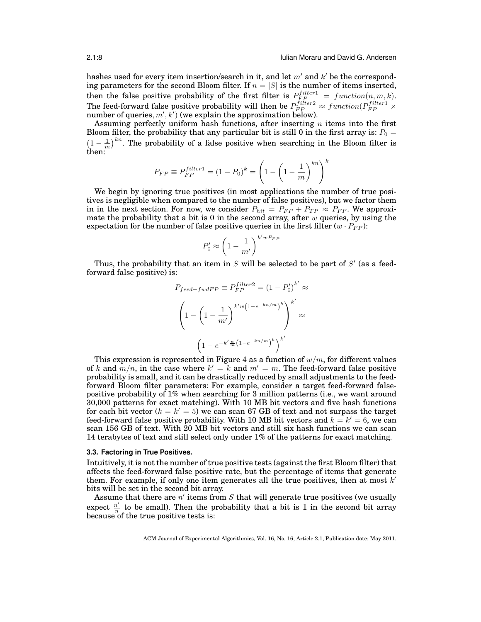hashes used for every item insertion/search in it, and let  $m'$  and  $k'$  be the corresponding parameters for the second Bloom filter. If  $n = |S|$  is the number of items inserted, then the false positive probability of the first filter is  $P_{FP}^{filter1} = function(n, m, k)$ . The feed-forward false positive probability will then be  $P_{FP}^{filter2} \approx function(P_{FP}^{filter1} \times$ number of queries,  $m', k')$  (we explain the approximation below).

Assuming perfectly uniform hash functions, after inserting  $n$  items into the first Bloom filter, the probability that any particular bit is still 0 in the first array is:  $P_0 =$  $\left(1-\frac{1}{m}\right)^{kn}$ . The probability of a false positive when searching in the Bloom filter is then:

$$
P_{FP} \equiv P_{FP}^{filter1} = (1 - P_0)^k = \left(1 - \left(1 - \frac{1}{m}\right)^{kn}\right)^k
$$

We begin by ignoring true positives (in most applications the number of true positives is negligible when compared to the number of false positives), but we factor them in in the next section. For now, we consider  $P_{hit} = P_{FP} + P_{TP} \approx P_{FP}$ . We approximate the probability that a bit is 0 in the second array, after  $w$  queries, by using the expectation for the number of false positive queries in the first filter  $(w \cdot P_{FP})$ :

$$
P'_0 \approx \left(1 - \frac{1}{m'}\right)^{k'wP_{FF}}
$$

Thus, the probability that an item in  $S$  will be selected to be part of  $S'$  (as a feedforward false positive) is:

$$
P_{feed - fwdFP} \equiv P_{FP}^{filter2} = (1 - P_0')^{k'} \approx
$$
\n
$$
\left(1 - \left(1 - \frac{1}{m'}\right)^{k'w\left(1 - e^{-kn/m}\right)^k}\right)^{k'} \approx
$$
\n
$$
\left(1 - e^{-k'\frac{w}{m}\left(1 - e^{-kn/m}\right)^k}\right)^{k'}
$$

This expression is represented in Figure [4](#page-8-0) as a function of  $w/m$ , for different values of k and  $m/n$ , in the case where  $k' = k$  and  $m' = m$ . The feed-forward false positive probability is small, and it can be drastically reduced by small adjustments to the feedforward Bloom filter parameters: For example, consider a target feed-forward falsepositive probability of 1% when searching for 3 million patterns (i.e., we want around 30,000 patterns for exact matching). With 10 MB bit vectors and five hash functions for each bit vector ( $k = k' = 5$ ) we can scan 67 GB of text and not surpass the target feed-forward false positive probability. With 10 MB bit vectors and  $k = k' = 6$ , we can scan 156 GB of text. With 20 MB bit vectors and still six hash functions we can scan 14 terabytes of text and still select only under 1% of the patterns for exact matching.

#### <span id="page-7-0"></span>**3.3. Factoring in True Positives.**

Intuitively, it is not the number of true positive tests (against the first Bloom filter) that affects the feed-forward false positive rate, but the percentage of items that generate them. For example, if only one item generates all the true positives, then at most  $k'$ bits will be set in the second bit array.

Assume that there are  $n'$  items from  $S$  that will generate true positives (we usually expect  $\frac{n'}{n}$  $\frac{n}{n}$  to be small). Then the probability that a bit is 1 in the second bit array because of the true positive tests is: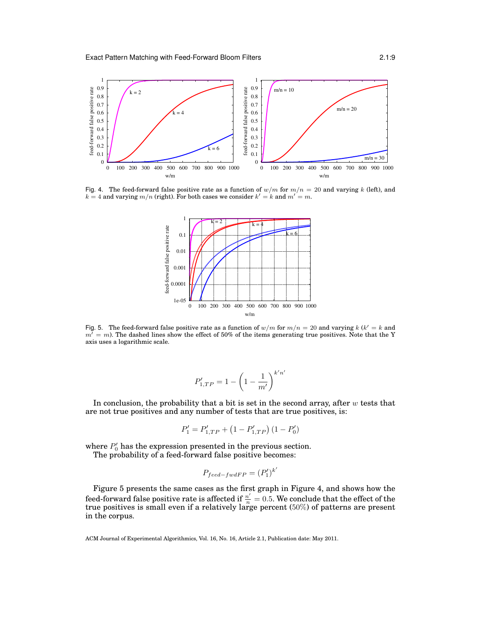

<span id="page-8-0"></span>Fig. 4. The feed-forward false positive rate as a function of  $w/m$  for  $m/n = 20$  and varying k (left), and  $k = 4$  and varying  $m/n$  (right). For both cases we consider  $k' = k$  and  $m' = m$ .



<span id="page-8-1"></span>Fig. 5. The feed-forward false positive rate as a function of  $w/m$  for  $m/n = 20$  and varying k (k' = k and  $m<sup>j</sup> = m$ ). The dashed lines show the effect of 50% of the items generating true positives. Note that the Y axis uses a logarithmic scale.

$$
P'_{1,TP} = 1 - \left(1 - \frac{1}{m'}\right)^{k'n'}
$$

In conclusion, the probability that a bit is set in the second array, after  $w$  tests that are not true positives and any number of tests that are true positives, is:

$$
P_1' = P_{1,TP}' + (1 - P_{1,TP}') (1 - P_0')
$$

where  $P'_0$  has the expression presented in the previous section.

The probability of a feed-forward false positive becomes:

$$
P_{feed-fwdFP} = (P'_1)^{k'}
$$

Figure [5](#page-8-1) presents the same cases as the first graph in Figure [4,](#page-8-0) and shows how the feed-forward false positive rate is affected if  $\frac{n'}{n} = 0.5$ . We conclude that the effect of the true positives is small even if a relatively large percent (50%) of patterns are present in the corpus.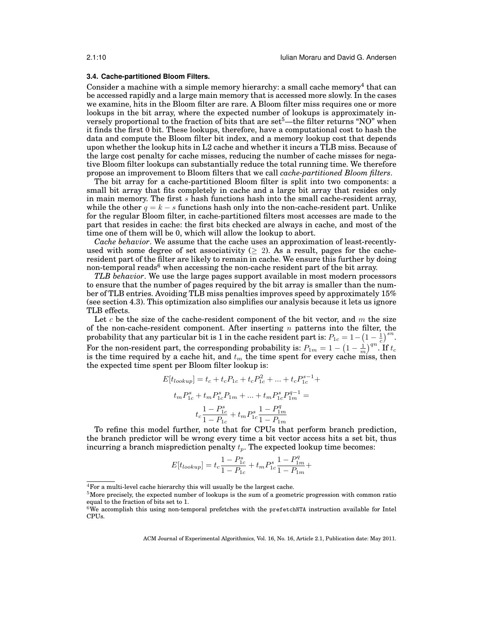### <span id="page-9-0"></span>**3.4. Cache-partitioned Bloom Filters.**

Consider a machine with a simple memory hierarchy: a small cache memory<sup>[4](#page-9-1)</sup> that can be accessed rapidly and a large main memory that is accessed more slowly. In the cases we examine, hits in the Bloom filter are rare. A Bloom filter miss requires one or more lookups in the bit array, where the expected number of lookups is approximately inversely proportional to the fraction of bits that are  $set<sup>5</sup>$  $set<sup>5</sup>$  $set<sup>5</sup>$ —the filter returns "NO" when it finds the first 0 bit. These lookups, therefore, have a computational cost to hash the data and compute the Bloom filter bit index, and a memory lookup cost that depends upon whether the lookup hits in L2 cache and whether it incurs a TLB miss. Because of the large cost penalty for cache misses, reducing the number of cache misses for negative Bloom filter lookups can substantially reduce the total running time. We therefore propose an improvement to Bloom filters that we call *cache-partitioned Bloom filters*.

The bit array for a cache-partitioned Bloom filter is split into two components: a small bit array that fits completely in cache and a large bit array that resides only in main memory. The first s hash functions hash into the small cache-resident array, while the other  $q = k - s$  functions hash only into the non-cache-resident part. Unlike for the regular Bloom filter, in cache-partitioned filters most accesses are made to the part that resides in cache: the first bits checked are always in cache, and most of the time one of them will be 0, which will allow the lookup to abort.

*Cache behavior*. We assume that the cache uses an approximation of least-recentlyused with some degree of set associativity ( $\geq$  2). As a result, pages for the cacheresident part of the filter are likely to remain in cache. We ensure this further by doing non-temporal reads<sup>[6](#page-9-3)</sup> when accessing the non-cache resident part of the bit array.

*TLB behavior*. We use the large pages support available in most modern processors to ensure that the number of pages required by the bit array is smaller than the number of TLB entries. Avoiding TLB miss penalties improves speed by approximately 15% (see section [4.3\)](#page-13-0). This optimization also simplifies our analysis because it lets us ignore TLB effects.

Let c be the size of the cache-resident component of the bit vector, and  $m$  the size of the non-cache-resident component. After inserting  $n$  patterns into the filter, the probability that any particular bit is 1 in the cache resident part is:  $P_{1c} = 1 - \left(1 - \frac{1}{c}\right)^{sn}$ . For the non-resident part, the corresponding probability is:  $P_{1m} = 1 - \left(1 - \frac{1}{m}\right)^{qn}$ . If  $t_c$ is the time required by a cache hit, and  $t_m$  the time spent for every cache miss, then the expected time spent per Bloom filter lookup is:

$$
E[t_{lookup}] = t_c + t_c P_{1c} + t_c P_{1c}^2 + \dots + t_c P_{1c}^{s-1} +
$$
  

$$
t_m P_{1c}^s + t_m P_{1c}^s P_{1m} + \dots + t_m P_{1c}^s P_{1m}^{q-1} =
$$
  

$$
t_c \frac{1 - P_{1c}^s}{1 - P_{1c}} + t_m P_{1c}^s \frac{1 - P_{1m}^q}{1 - P_{1m}}
$$

To refine this model further, note that for CPUs that perform branch prediction, the branch predictor will be wrong every time a bit vector access hits a set bit, thus incurring a branch misprediction penalty  $t_p$ . The expected lookup time becomes:

$$
E[t_{lookup}] = t_c \frac{1-P_{1c}^s}{1-P_{1c}} + t_m P_{1c}^s \frac{1-P_{1m}^q}{1-P_{1m}} +
$$

<span id="page-9-1"></span><sup>4</sup>For a multi-level cache hierarchy this will usually be the largest cache.

<span id="page-9-2"></span> $5$ More precisely, the expected number of lookups is the sum of a geometric progression with common ratio equal to the fraction of bits set to 1.

<span id="page-9-3"></span> $6W$ e accomplish this using non-temporal prefetches with the prefetchNTA instruction available for Intel CPUs.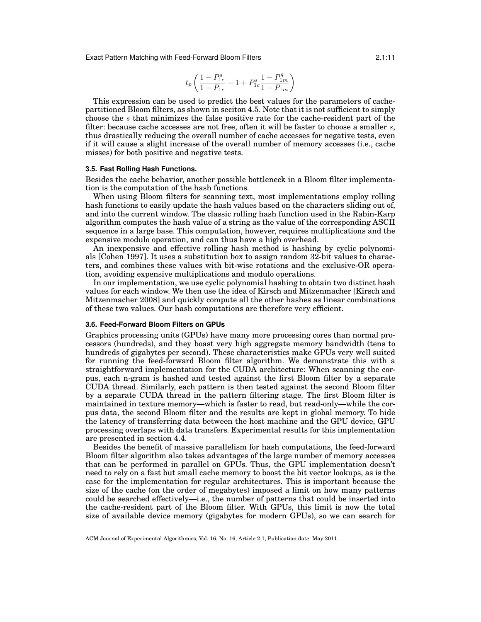Exact Pattern Matching with Feed-Forward Bloom Filters 2.1:11

$$
t_p \left( \frac{1 - P_{1c}^s}{1 - P_{1c}} - 1 + P_{1c}^s \frac{1 - P_{1m}^q}{1 - P_{1m}} \right)
$$

This expression can be used to predict the best values for the parameters of cachepartitioned Bloom filters, as shown in seciton [4.5.](#page-15-0) Note that it is not sufficient to simply choose the s that minimizes the false positive rate for the cache-resident part of the filter: because cache accesses are not free, often it will be faster to choose a smaller  $s$ , thus drastically reducing the overall number of cache accesses for negative tests, even if it will cause a slight increase of the overall number of memory accesses (i.e., cache misses) for both positive and negative tests.

### <span id="page-10-0"></span>**3.5. Fast Rolling Hash Functions.**

Besides the cache behavior, another possible bottleneck in a Bloom filter implementation is the computation of the hash functions.

When using Bloom filters for scanning text, most implementations employ rolling hash functions to easily update the hash values based on the characters sliding out of, and into the current window. The classic rolling hash function used in the Rabin-Karp algorithm computes the hash value of a string as the value of the corresponding ASCII sequence in a large base. This computation, however, requires multiplications and the expensive modulo operation, and can thus have a high overhead.

An inexpensive and effective rolling hash method is hashing by cyclic polynomials [\[Cohen 1997\]](#page-17-17). It uses a substitution box to assign random 32-bit values to characters, and combines these values with bit-wise rotations and the exclusive-OR operation, avoiding expensive multiplications and modulo operations.

In our implementation, we use cyclic polynomial hashing to obtain two distinct hash values for each window. We then use the idea of Kirsch and Mitzenmacher [\[Kirsch and](#page-17-10) [Mitzenmacher 2008\]](#page-17-10) and quickly compute all the other hashes as linear combinations of these two values. Our hash computations are therefore very efficient.

#### <span id="page-10-1"></span>**3.6. Feed-Forward Bloom Filters on GPUs**

Graphics processing units (GPUs) have many more processing cores than normal processors (hundreds), and they boast very high aggregate memory bandwidth (tens to hundreds of gigabytes per second). These characteristics make GPUs very well suited for running the feed-forward Bloom filter algorithm. We demonstrate this with a straightforward implementation for the CUDA architecture: When scanning the corpus, each n-gram is hashed and tested against the first Bloom filter by a separate CUDA thread. Similarly, each pattern is then tested against the second Bloom filter by a separate CUDA thread in the pattern filtering stage. The first Bloom filter is maintained in texture memory—which is faster to read, but read-only—while the corpus data, the second Bloom filter and the results are kept in global memory. To hide the latency of transferring data between the host machine and the GPU device, GPU processing overlaps with data transfers. Experimental results for this implementation are presented in section [4.4.](#page-15-1)

Besides the benefit of massive parallelism for hash computations, the feed-forward Bloom filter algorithm also takes advantages of the large number of memory accesses that can be performed in parallel on GPUs. Thus, the GPU implementation doesn't need to rely on a fast but small cache memory to boost the bit vector lookups, as is the case for the implementation for regular architectures. This is important because the size of the cache (on the order of megabytes) imposed a limit on how many patterns could be searched effectively—i.e., the number of patterns that could be inserted into the cache-resident part of the Bloom filter. With GPUs, this limit is now the total size of available device memory (gigabytes for modern GPUs), so we can search for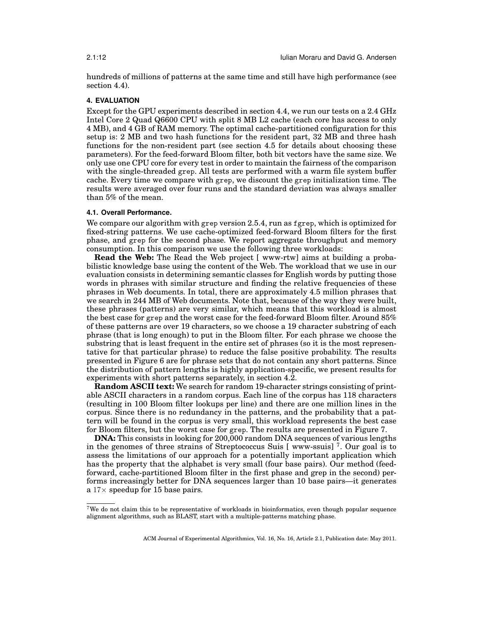hundreds of millions of patterns at the same time and still have high performance (see section [4.4\)](#page-15-1).

## <span id="page-11-0"></span>**4. EVALUATION**

Except for the GPU experiments described in section [4.4,](#page-15-1) we run our tests on a 2.4 GHz Intel Core 2 Quad Q6600 CPU with split 8 MB L2 cache (each core has access to only 4 MB), and 4 GB of RAM memory. The optimal cache-partitioned configuration for this setup is: 2 MB and two hash functions for the resident part, 32 MB and three hash functions for the non-resident part (see section [4.5](#page-15-0) for details about choosing these parameters). For the feed-forward Bloom filter, both bit vectors have the same size. We only use one CPU core for every test in order to maintain the fairness of the comparison with the single-threaded grep. All tests are performed with a warm file system buffer cache. Every time we compare with grep, we discount the grep initialization time. The results were averaged over four runs and the standard deviation was always smaller than 5% of the mean.

### <span id="page-11-2"></span>**4.1. Overall Performance.**

We compare our algorithm with grep version 2.5.4, run as fgrep, which is optimized for fixed-string patterns. We use cache-optimized feed-forward Bloom filters for the first phase, and grep for the second phase. We report aggregate throughput and memory consumption. In this comparison we use the following three workloads:

**Read the Web:** The Read the Web project [\[ www-rtw\]](#page-18-0) aims at building a probabilistic knowledge base using the content of the Web. The workload that we use in our evaluation consists in determining semantic classes for English words by putting those words in phrases with similar structure and finding the relative frequencies of these phrases in Web documents. In total, there are approximately 4.5 million phrases that we search in 244 MB of Web documents. Note that, because of the way they were built, these phrases (patterns) are very similar, which means that this workload is almost the best case for grep and the worst case for the feed-forward Bloom filter. Around 85% of these patterns are over 19 characters, so we choose a 19 character substring of each phrase (that is long enough) to put in the Bloom filter. For each phrase we choose the substring that is least frequent in the entire set of phrases (so it is the most representative for that particular phrase) to reduce the false positive probability. The results presented in Figure [6](#page-12-0) are for phrase sets that do not contain any short patterns. Since the distribution of pattern lengths is highly application-specific, we present results for experiments with short patterns separately, in section [4.2.](#page-13-1)

**Random ASCII text:** We search for random 19-character strings consisting of printable ASCII characters in a random corpus. Each line of the corpus has 118 characters (resulting in 100 Bloom filter lookups per line) and there are one million lines in the corpus. Since there is no redundancy in the patterns, and the probability that a pattern will be found in the corpus is very small, this workload represents the best case for Bloom filters, but the worst case for grep. The results are presented in Figure [7.](#page-12-1)

**DNA:** This consists in looking for 200,000 random DNA sequences of various lengths in the genomes of three strains of Streptococcus Suis [\[ www-ssuis\]](#page-18-3) [7](#page-11-1) . Our goal is to assess the limitations of our approach for a potentially important application which has the property that the alphabet is very small (four base pairs). Our method (feedforward, cache-partitioned Bloom filter in the first phase and grep in the second) performs increasingly better for DNA sequences larger than 10 base pairs—it generates a  $17\times$  speedup for 15 base pairs.

<span id="page-11-1"></span><sup>7</sup>We do not claim this to be representative of workloads in bioinformatics, even though popular sequence alignment algorithms, such as BLAST, start with a multiple-patterns matching phase.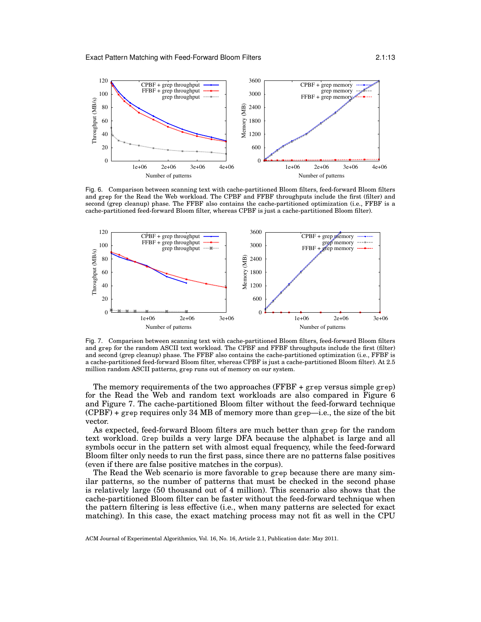

<span id="page-12-0"></span>Fig. 6. Comparison between scanning text with cache-partitioned Bloom filters, feed-forward Bloom filters and grep for the Read the Web workload. The CPBF and FFBF throughputs include the first (filter) and second (grep cleanup) phase. The FFBF also contains the cache-partitioned optimization (i.e., FFBF is a cache-partitioned feed-forward Bloom filter, whereas CPBF is just a cache-partitioned Bloom filter).



<span id="page-12-1"></span>Fig. 7. Comparison between scanning text with cache-partitioned Bloom filters, feed-forward Bloom filters and grep for the random ASCII text workload. The CPBF and FFBF throughputs include the first (filter) and second (grep cleanup) phase. The FFBF also contains the cache-partitioned optimization (i.e., FFBF is a cache-partitioned feed-forward Bloom filter, whereas CPBF is just a cache-partitioned Bloom filter). At 2.5 million random ASCII patterns, grep runs out of memory on our system.

The memory requirements of the two approaches  $(FFBF + grep)$  versus simple grep) for the Read the Web and random text workloads are also compared in Figure [6](#page-12-0) and Figure [7.](#page-12-1) The cache-partitioned Bloom filter without the feed-forward technique  $(CPBF)$  + grep requires only 34 MB of memory more than grep—i.e., the size of the bit vector.

As expected, feed-forward Bloom filters are much better than grep for the random text workload. Grep builds a very large DFA because the alphabet is large and all symbols occur in the pattern set with almost equal frequency, while the feed-forward Bloom filter only needs to run the first pass, since there are no patterns false positives (even if there are false positive matches in the corpus).

The Read the Web scenario is more favorable to grep because there are many similar patterns, so the number of patterns that must be checked in the second phase is relatively large (50 thousand out of 4 million). This scenario also shows that the cache-partitioned Bloom filter can be faster without the feed-forward technique when the pattern filtering is less effective (i.e., when many patterns are selected for exact matching). In this case, the exact matching process may not fit as well in the CPU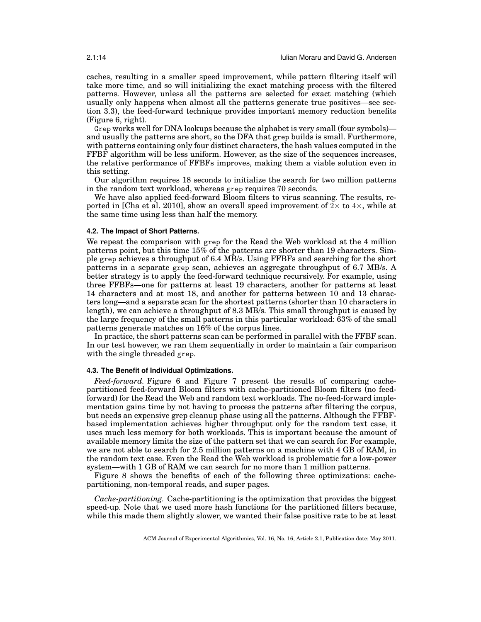caches, resulting in a smaller speed improvement, while pattern filtering itself will take more time, and so will initializing the exact matching process with the filtered patterns. However, unless all the patterns are selected for exact matching (which usually only happens when almost all the patterns generate true positives—see section [3.3\)](#page-7-0), the feed-forward technique provides important memory reduction benefits (Figure [6,](#page-12-0) right).

Grep works well for DNA lookups because the alphabet is very small (four symbols) and usually the patterns are short, so the DFA that grep builds is small. Furthermore, with patterns containing only four distinct characters, the hash values computed in the FFBF algorithm will be less uniform. However, as the size of the sequences increases, the relative performance of FFBFs improves, making them a viable solution even in this setting.

Our algorithm requires 18 seconds to initialize the search for two million patterns in the random text workload, whereas grep requires 70 seconds.

We have also applied feed-forward Bloom filters to virus scanning. The results, re-ported in [\[Cha et al. 2010\]](#page-17-16), show an overall speed improvement of  $2\times$  to  $4\times$ , while at the same time using less than half the memory.

#### <span id="page-13-1"></span>**4.2. The Impact of Short Patterns.**

We repeat the comparison with grep for the Read the Web workload at the 4 million patterns point, but this time 15% of the patterns are shorter than 19 characters. Simple grep achieves a throughput of 6.4 MB/s. Using FFBFs and searching for the short patterns in a separate grep scan, achieves an aggregate throughput of 6.7 MB/s. A better strategy is to apply the feed-forward technique recursively. For example, using three FFBFs—one for patterns at least 19 characters, another for patterns at least 14 characters and at most 18, and another for patterns between 10 and 13 characters long—and a separate scan for the shortest patterns (shorter than 10 characters in length), we can achieve a throughput of 8.3 MB/s. This small throughput is caused by the large frequency of the small patterns in this particular workload: 63% of the small patterns generate matches on 16% of the corpus lines.

In practice, the short patterns scan can be performed in parallel with the FFBF scan. In our test however, we ran them sequentially in order to maintain a fair comparison with the single threaded grep.

#### <span id="page-13-0"></span>**4.3. The Benefit of Individual Optimizations.**

*Feed-forward.* Figure [6](#page-12-0) and Figure [7](#page-12-1) present the results of comparing cachepartitioned feed-forward Bloom filters with cache-partitioned Bloom filters (no feedforward) for the Read the Web and random text workloads. The no-feed-forward implementation gains time by not having to process the patterns after filtering the corpus, but needs an expensive grep cleanup phase using all the patterns. Although the FFBFbased implementation achieves higher throughput only for the random text case, it uses much less memory for both workloads. This is important because the amount of available memory limits the size of the pattern set that we can search for. For example, we are not able to search for 2.5 million patterns on a machine with 4 GB of RAM, in the random text case. Even the Read the Web workload is problematic for a low-power system—with 1 GB of RAM we can search for no more than 1 million patterns.

Figure [8](#page-14-0) shows the benefits of each of the following three optimizations: cachepartitioning, non-temporal reads, and super pages.

*Cache-partitioning.* Cache-partitioning is the optimization that provides the biggest speed-up. Note that we used more hash functions for the partitioned filters because, while this made them slightly slower, we wanted their false positive rate to be at least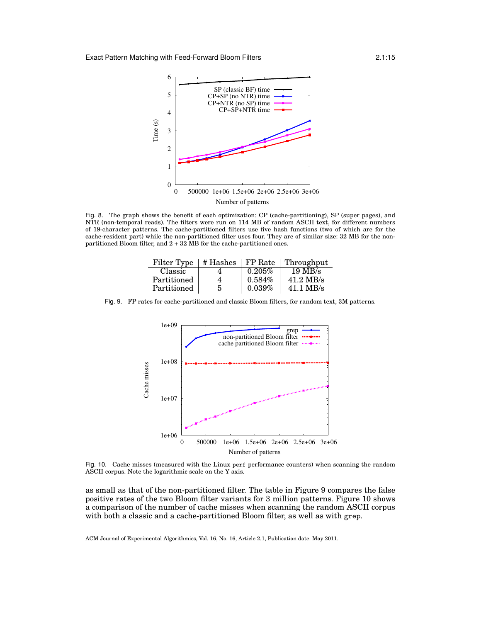

<span id="page-14-0"></span>Fig. 8. The graph shows the benefit of each optimization: CP (cache-partitioning), SP (super pages), and NTR (non-temporal reads). The filters were run on 114 MB of random ASCII text, for different numbers of 19-character patterns. The cache-partitioned filters use five hash functions (two of which are for the cache-resident part) while the non-partitioned filter uses four. They are of similar size: 32 MB for the nonpartitioned Bloom filter, and 2 + 32 MB for the cache-partitioned ones.

| Filter Type | # Hashes |           | FP Rate   Throught  |
|-------------|----------|-----------|---------------------|
| Classic     |          | $0.205\%$ | $19 \text{ MB/s}$   |
| Partitioned | 4        | $0.584\%$ | $41.2 \text{ MB/s}$ |
| Partitioned | 5        | 0.039%    | $41.1 \text{ MB/s}$ |

Fig. 9. FP rates for cache-partitioned and classic Bloom filters, for random text, 3M patterns.

<span id="page-14-1"></span>

<span id="page-14-2"></span>Fig. 10. Cache misses (measured with the Linux perf performance counters) when scanning the random ASCII corpus. Note the logarithmic scale on the Y axis.

as small as that of the non-partitioned filter. The table in Figure [9](#page-14-1) compares the false positive rates of the two Bloom filter variants for 3 million patterns. Figure [10](#page-14-2) shows a comparison of the number of cache misses when scanning the random ASCII corpus with both a classic and a cache-partitioned Bloom filter, as well as with grep.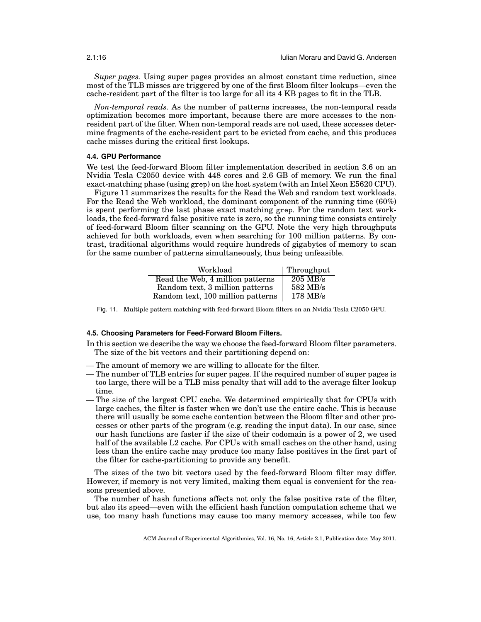*Super pages.* Using super pages provides an almost constant time reduction, since most of the TLB misses are triggered by one of the first Bloom filter lookups—even the cache-resident part of the filter is too large for all its 4 KB pages to fit in the TLB.

*Non-temporal reads.* As the number of patterns increases, the non-temporal reads optimization becomes more important, because there are more accesses to the nonresident part of the filter. When non-temporal reads are not used, these accesses determine fragments of the cache-resident part to be evicted from cache, and this produces cache misses during the critical first lookups.

### <span id="page-15-1"></span>**4.4. GPU Performance**

We test the feed-forward Bloom filter implementation described in section [3.6](#page-10-1) on an Nvidia Tesla C2050 device with 448 cores and 2.6 GB of memory. We run the final exact-matching phase (using grep) on the host system (with an Intel Xeon E5620 CPU).

Figure [11](#page-15-2) summarizes the results for the Read the Web and random text workloads. For the Read the Web workload, the dominant component of the running time (60%) is spent performing the last phase exact matching grep. For the random text workloads, the feed-forward false positive rate is zero, so the running time consists entirely of feed-forward Bloom filter scanning on the GPU. Note the very high throughputs achieved for both workloads, even when searching for 100 million patterns. By contrast, traditional algorithms would require hundreds of gigabytes of memory to scan for the same number of patterns simultaneously, thus being unfeasible.

| Workload                          | Throughput |
|-----------------------------------|------------|
| Read the Web, 4 million patterns  | $205$ MB/s |
| Random text, 3 million patterns   | 582 MB/s   |
| Random text, 100 million patterns | $178$ MB/s |

<span id="page-15-2"></span>Fig. 11. Multiple pattern matching with feed-forward Bloom filters on an Nvidia Tesla C2050 GPU.

#### <span id="page-15-0"></span>**4.5. Choosing Parameters for Feed-Forward Bloom Filters.**

In this section we describe the way we choose the feed-forward Bloom filter parameters. The size of the bit vectors and their partitioning depend on:

- The amount of memory we are willing to allocate for the filter.
- The number of TLB entries for super pages. If the required number of super pages is too large, there will be a TLB miss penalty that will add to the average filter lookup time.
- The size of the largest CPU cache. We determined empirically that for CPUs with large caches, the filter is faster when we don't use the entire cache. This is because there will usually be some cache contention between the Bloom filter and other processes or other parts of the program (e.g. reading the input data). In our case, since our hash functions are faster if the size of their codomain is a power of 2, we used half of the available L2 cache. For CPUs with small caches on the other hand, using less than the entire cache may produce too many false positives in the first part of the filter for cache-partitioning to provide any benefit.

The sizes of the two bit vectors used by the feed-forward Bloom filter may differ. However, if memory is not very limited, making them equal is convenient for the reasons presented above.

The number of hash functions affects not only the false positive rate of the filter, but also its speed—even with the efficient hash function computation scheme that we use, too many hash functions may cause too many memory accesses, while too few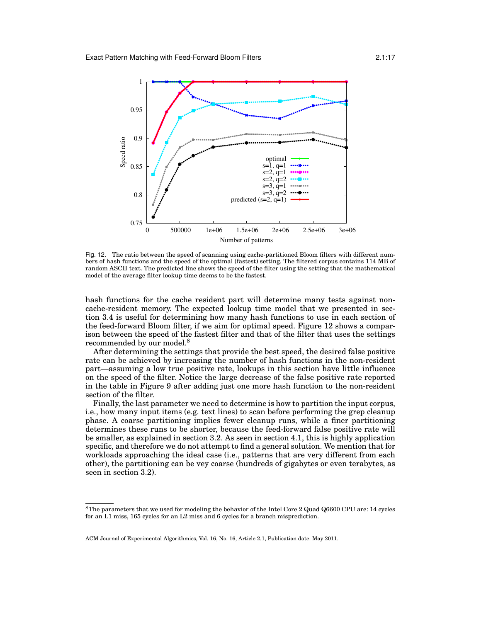

<span id="page-16-0"></span>Fig. 12. The ratio between the speed of scanning using cache-partitioned Bloom filters with different numbers of hash functions and the speed of the optimal (fastest) setting. The filtered corpus contains 114 MB of random ASCII text. The predicted line shows the speed of the filter using the setting that the mathematical model of the average filter lookup time deems to be the fastest.

hash functions for the cache resident part will determine many tests against noncache-resident memory. The expected lookup time model that we presented in section [3.4](#page-9-0) is useful for determining how many hash functions to use in each section of the feed-forward Bloom filter, if we aim for optimal speed. Figure [12](#page-16-0) shows a comparison between the speed of the fastest filter and that of the filter that uses the settings recommended by our model.[8](#page-16-1)

After determining the settings that provide the best speed, the desired false positive rate can be achieved by increasing the number of hash functions in the non-resident part—assuming a low true positive rate, lookups in this section have little influence on the speed of the filter. Notice the large decrease of the false positive rate reported in the table in Figure [9](#page-14-1) after adding just one more hash function to the non-resident section of the filter.

Finally, the last parameter we need to determine is how to partition the input corpus, i.e., how many input items (e.g. text lines) to scan before performing the grep cleanup phase. A coarse partitioning implies fewer cleanup runs, while a finer partitioning determines these runs to be shorter, because the feed-forward false positive rate will be smaller, as explained in section [3.2.](#page-5-0) As seen in section [4.1,](#page-11-2) this is highly application specific, and therefore we do not attempt to find a general solution. We mention that for workloads approaching the ideal case (i.e., patterns that are very different from each other), the partitioning can be vey coarse (hundreds of gigabytes or even terabytes, as seen in section [3.2\)](#page-5-0).

<span id="page-16-1"></span><sup>&</sup>lt;sup>8</sup>The parameters that we used for modeling the behavior of the Intel Core 2 Quad Q6600 CPU are: 14 cycles for an L1 miss, 165 cycles for an L2 miss and 6 cycles for a branch misprediction.

ACM Journal of Experimental Algorithmics, Vol. 16, No. 16, Article 2.1, Publication date: May 2011.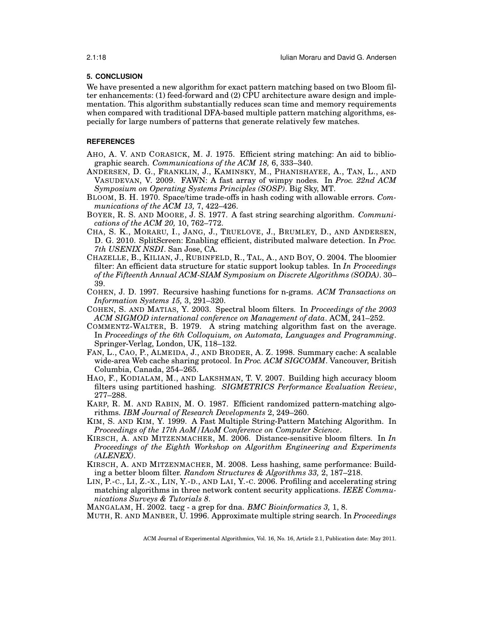### **5. CONCLUSION**

We have presented a new algorithm for exact pattern matching based on two Bloom filter enhancements: (1) feed-forward and (2) CPU architecture aware design and implementation. This algorithm substantially reduces scan time and memory requirements when compared with traditional DFA-based multiple pattern matching algorithms, especially for large numbers of patterns that generate relatively few matches.

## **REFERENCES**

- <span id="page-17-2"></span>AHO, A. V. AND CORASICK, M. J. 1975. Efficient string matching: An aid to bibliographic search. *Communications of the ACM 18,* 6, 333–340.
- <span id="page-17-4"></span>ANDERSEN, D. G., FRANKLIN, J., KAMINSKY, M., PHANISHAYEE, A., TAN, L., AND VASUDEVAN, V. 2009. FAWN: A fast array of wimpy nodes. In *Proc. 22nd ACM Symposium on Operating Systems Principles (SOSP)*. Big Sky, MT.
- <span id="page-17-5"></span>BLOOM, B. H. 1970. Space/time trade-offs in hash coding with allowable errors. *Communications of the ACM 13,* 7, 422–426.
- <span id="page-17-6"></span>BOYER, R. S. AND MOORE, J. S. 1977. A fast string searching algorithm. *Communications of the ACM 20,* 10, 762–772.
- <span id="page-17-16"></span>CHA, S. K., MORARU, I., JANG, J., TRUELOVE, J., BRUMLEY, D., AND ANDERSEN, D. G. 2010. SplitScreen: Enabling efficient, distributed malware detection. In *Proc. 7th USENIX NSDI*. San Jose, CA.
- <span id="page-17-13"></span>CHAZELLE, B., KILIAN, J., RUBINFELD, R., TAL, A., AND BOY, O. 2004. The bloomier filter: An efficient data structure for static support lookup tables. In *In Proceedings of the Fifteenth Annual ACM-SIAM Symposium on Discrete Algorithms (SODA)*. 30– 39.
- <span id="page-17-17"></span>COHEN, J. D. 1997. Recursive hashing functions for n-grams. *ACM Transactions on Information Systems 15,* 3, 291–320.
- <span id="page-17-15"></span>COHEN, S. AND MATIAS, Y. 2003. Spectral bloom filters. In *Proceedings of the 2003 ACM SIGMOD international conference on Management of data*. ACM, 241–252.
- <span id="page-17-3"></span>COMMENTZ-WALTER, B. 1979. A string matching algorithm fast on the average. In *Proceedings of the 6th Colloquium, on Automata, Languages and Programming*. Springer-Verlag, London, UK, 118–132.
- <span id="page-17-12"></span>FAN, L., CAO, P., ALMEIDA, J., AND BRODER, A. Z. 1998. Summary cache: A scalable wide-area Web cache sharing protocol. In *Proc. ACM SIGCOMM*. Vancouver, British Columbia, Canada, 254–265.
- <span id="page-17-11"></span>HAO, F., KODIALAM, M., AND LAKSHMAN, T. V. 2007. Building high accuracy bloom filters using partitioned hashing. *SIGMETRICS Performance Evaluation Review*, 277–288.
- <span id="page-17-8"></span>KARP, R. M. AND RABIN, M. O. 1987. Efficient randomized pattern-matching algorithms. *IBM Journal of Research Developments* 2, 249–260.
- <span id="page-17-7"></span>KIM, S. AND KIM, Y. 1999. A Fast Multiple String-Pattern Matching Algorithm. In *Proceedings of the 17th AoM/IAoM Conference on Computer Science*.
- <span id="page-17-14"></span>KIRSCH, A. AND MITZENMACHER, M. 2006. Distance-sensitive bloom filters. In *In Proceedings of the Eighth Workshop on Algorithm Engineering and Experiments (ALENEX)*.
- <span id="page-17-10"></span>KIRSCH, A. AND MITZENMACHER, M. 2008. Less hashing, same performance: Building a better bloom filter. *Random Structures & Algorithms 33,* 2, 187–218.
- <span id="page-17-0"></span>LIN, P.-C., LI, Z.-X., LIN, Y.-D., AND LAI, Y.-C. 2006. Profiling and accelerating string matching algorithms in three network content security applications. *IEEE Communications Surveys & Tutorials 8*.

<span id="page-17-1"></span>MANGALAM, H. 2002. tacg - a grep for dna. *BMC Bioinformatics 3,* 1, 8.

<span id="page-17-9"></span>MUTH, R. AND MANBER, U. 1996. Approximate multiple string search. In *Proceedings*